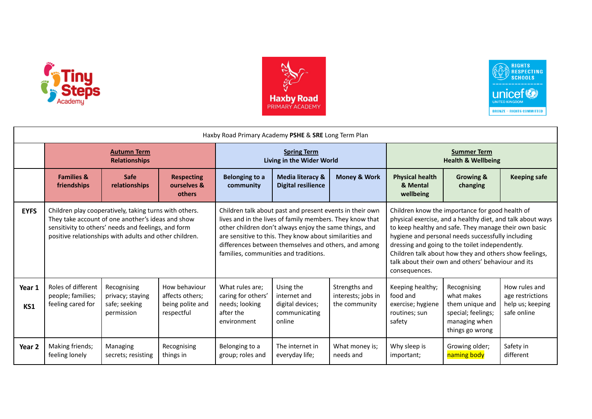





| Haxby Road Primary Academy PSHE & SRE Long Term Plan |                                                                                                                                                                                                                              |                                                                |                                                                    |                                                                                     |                                                                                                                                                                                                                                                                                                                                            |                                                      |                                                                                                                                                                                                                                                                                                                                                                                                                 |                                                                                                        |                                                                      |  |  |
|------------------------------------------------------|------------------------------------------------------------------------------------------------------------------------------------------------------------------------------------------------------------------------------|----------------------------------------------------------------|--------------------------------------------------------------------|-------------------------------------------------------------------------------------|--------------------------------------------------------------------------------------------------------------------------------------------------------------------------------------------------------------------------------------------------------------------------------------------------------------------------------------------|------------------------------------------------------|-----------------------------------------------------------------------------------------------------------------------------------------------------------------------------------------------------------------------------------------------------------------------------------------------------------------------------------------------------------------------------------------------------------------|--------------------------------------------------------------------------------------------------------|----------------------------------------------------------------------|--|--|
|                                                      | <b>Autumn Term</b><br><b>Relationships</b>                                                                                                                                                                                   |                                                                |                                                                    | <b>Spring Term</b><br>Living in the Wider World                                     |                                                                                                                                                                                                                                                                                                                                            |                                                      | <b>Summer Term</b><br><b>Health &amp; Wellbeing</b>                                                                                                                                                                                                                                                                                                                                                             |                                                                                                        |                                                                      |  |  |
|                                                      | <b>Families &amp;</b><br>friendships                                                                                                                                                                                         | <b>Safe</b><br>relationships                                   | <b>Respecting</b><br>ourselves &<br><b>others</b>                  | <b>Belonging to a</b><br>community                                                  | <b>Media literacy &amp;</b><br><b>Digital resilience</b>                                                                                                                                                                                                                                                                                   | <b>Money &amp; Work</b>                              | <b>Physical health</b><br>& Mental<br>wellbeing                                                                                                                                                                                                                                                                                                                                                                 | Growing &<br>changing                                                                                  | <b>Keeping safe</b>                                                  |  |  |
| <b>EYFS</b>                                          | Children play cooperatively, taking turns with others.<br>They take account of one another's ideas and show<br>sensitivity to others' needs and feelings, and form<br>positive relationships with adults and other children. |                                                                |                                                                    |                                                                                     | Children talk about past and present events in their own<br>lives and in the lives of family members. They know that<br>other children don't always enjoy the same things, and<br>are sensitive to this. They know about similarities and<br>differences between themselves and others, and among<br>families, communities and traditions. |                                                      | Children know the importance for good health of<br>physical exercise, and a healthy diet, and talk about ways<br>to keep healthy and safe. They manage their own basic<br>hygiene and personal needs successfully including<br>dressing and going to the toilet independently.<br>Children talk about how they and others show feelings,<br>talk about their own and others' behaviour and its<br>consequences. |                                                                                                        |                                                                      |  |  |
| Year 1<br>KS1                                        | Roles of different<br>people; families;<br>feeling cared for                                                                                                                                                                 | Recognising<br>privacy; staying<br>safe; seeking<br>permission | How behaviour<br>affects others;<br>being polite and<br>respectful | What rules are;<br>caring for others'<br>needs; looking<br>after the<br>environment | Using the<br>internet and<br>digital devices;<br>communicating<br>online                                                                                                                                                                                                                                                                   | Strengths and<br>interests; jobs in<br>the community | Keeping healthy;<br>food and<br>exercise; hygiene<br>routines; sun<br>safety                                                                                                                                                                                                                                                                                                                                    | Recognising<br>what makes<br>them unique and<br>special; feelings;<br>managing when<br>things go wrong | How rules and<br>age restrictions<br>help us; keeping<br>safe online |  |  |
| Year <sub>2</sub>                                    | Making friends;<br>feeling lonely                                                                                                                                                                                            | Managing<br>secrets; resisting                                 | Recognising<br>things in                                           | Belonging to a<br>group; roles and                                                  | The internet in<br>everyday life;                                                                                                                                                                                                                                                                                                          | What money is;<br>needs and                          | Why sleep is<br>important;                                                                                                                                                                                                                                                                                                                                                                                      | Growing older;<br>naming body                                                                          | Safety in<br>different                                               |  |  |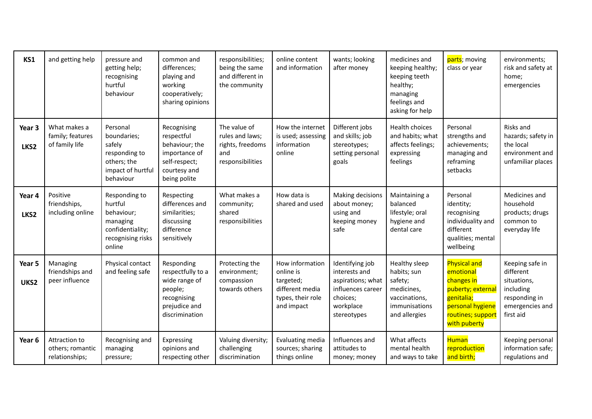| KS1            | and getting help                                    | pressure and<br>getting help;<br>recognising<br>hurtful<br>behaviour                                  | common and<br>differences;<br>playing and<br>working<br>cooperatively;<br>sharing opinions                    | responsibilities;<br>being the same<br>and different in<br>the community       | online content<br>and information                                                               | wants; looking<br>after money                                                                                      | medicines and<br>keeping healthy;<br>keeping teeth<br>healthy;<br>managing<br>feelings and<br>asking for help | parts; moving<br>class or year                                                                                                            | environments;<br>risk and safety at<br>home;<br>emergencies                                               |
|----------------|-----------------------------------------------------|-------------------------------------------------------------------------------------------------------|---------------------------------------------------------------------------------------------------------------|--------------------------------------------------------------------------------|-------------------------------------------------------------------------------------------------|--------------------------------------------------------------------------------------------------------------------|---------------------------------------------------------------------------------------------------------------|-------------------------------------------------------------------------------------------------------------------------------------------|-----------------------------------------------------------------------------------------------------------|
| Year 3<br>LKS2 | What makes a<br>family; features<br>of family life  | Personal<br>boundaries;<br>safely<br>responding to<br>others; the<br>impact of hurtful<br>behaviour   | Recognising<br>respectful<br>behaviour; the<br>importance of<br>self-respect;<br>courtesy and<br>being polite | The value of<br>rules and laws;<br>rights, freedoms<br>and<br>responsibilities | How the internet<br>is used; assessing<br>information<br>online                                 | Different jobs<br>and skills; job<br>stereotypes;<br>setting personal<br>goals                                     | Health choices<br>and habits; what<br>affects feelings;<br>expressing<br>feelings                             | Personal<br>strengths and<br>achievements;<br>managing and<br>reframing<br>setbacks                                                       | Risks and<br>hazards; safety in<br>the local<br>environment and<br>unfamiliar places                      |
| Year 4<br>LKS2 | Positive<br>friendships,<br>including online        | Responding to<br>hurtful<br>behaviour;<br>managing<br>confidentiality;<br>recognising risks<br>online | Respecting<br>differences and<br>similarities;<br>discussing<br>difference<br>sensitively                     | What makes a<br>community;<br>shared<br>responsibilities                       | How data is<br>shared and used                                                                  | Making decisions<br>about money;<br>using and<br>keeping money<br>safe                                             | Maintaining a<br>balanced<br>lifestyle; oral<br>hygiene and<br>dental care                                    | Personal<br>identity;<br>recognising<br>individuality and<br>different<br>qualities; mental<br>wellbeing                                  | Medicines and<br>household<br>products; drugs<br>common to<br>everyday life                               |
| Year 5<br>UKS2 | Managing<br>friendships and<br>peer influence       | Physical contact<br>and feeling safe                                                                  | Responding<br>respectfully to a<br>wide range of<br>people;<br>recognising<br>prejudice and<br>discrimination | Protecting the<br>environment;<br>compassion<br>towards others                 | How information<br>online is<br>targeted;<br>different media<br>types, their role<br>and impact | Identifying job<br>interests and<br>aspirations; what<br>influences career<br>choices;<br>workplace<br>stereotypes | Healthy sleep<br>habits; sun<br>safety;<br>medicines,<br>vaccinations,<br>immunisations<br>and allergies      | <b>Physical and</b><br>emotional<br>changes in<br>puberty; externa<br>genitalia;<br>personal hygiene<br>routines; support<br>with puberty | Keeping safe in<br>different<br>situations,<br>including<br>responding in<br>emergencies and<br>first aid |
| Year 6         | Attraction to<br>others; romantic<br>relationships; | Recognising and<br>managing<br>pressure;                                                              | Expressing<br>opinions and<br>respecting other                                                                | Valuing diversity;<br>challenging<br>discrimination                            | Evaluating media<br>sources; sharing<br>things online                                           | Influences and<br>attitudes to<br>money; money                                                                     | What affects<br>mental health<br>and ways to take                                                             | <b>Human</b><br>reproduction<br>and birth;                                                                                                | Keeping personal<br>information safe;<br>regulations and                                                  |